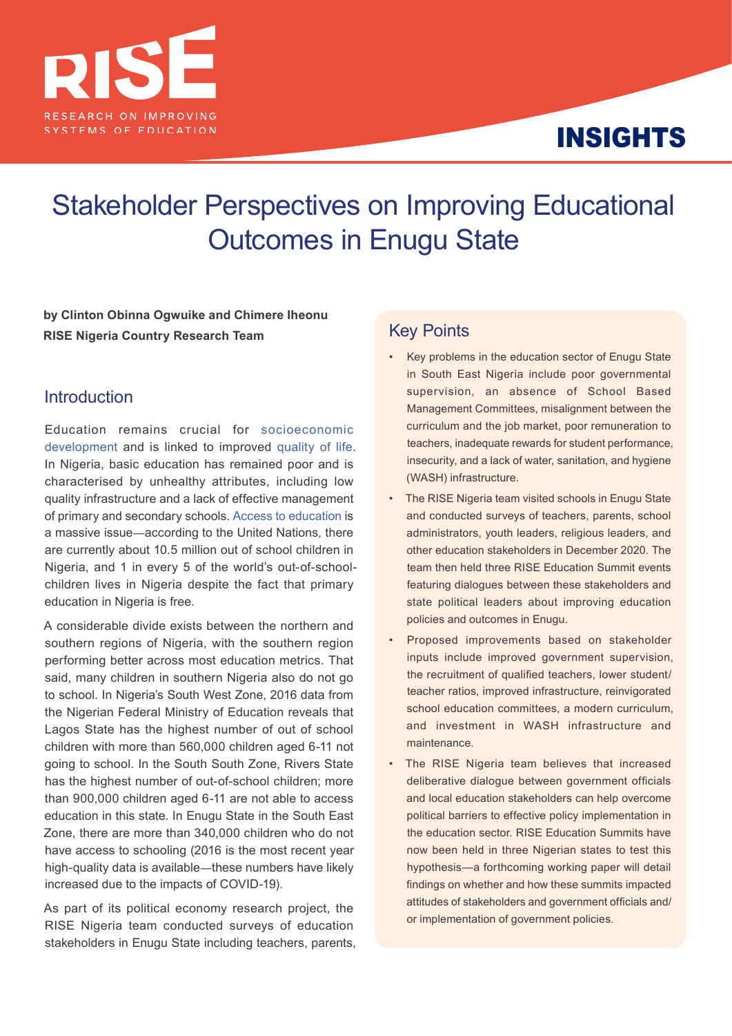

# INSIGHTS

# Stakeholder Perspectives on Improving Educational Outcomes in Enugu State

**by Clinton Obinna Ogwuike and Chimere Iheonu RISE Nigeria Country Research Team**

## **Introduction**

Education remains crucial for [socioeconomic](https://openknowledge.worldbank.org/handle/10986/29672)  [development](https://openknowledge.worldbank.org/handle/10986/29672) and is linked to improved [quality of life.](https://www.oecd.org/education/innovation-education/37425753.pdf) In Nigeria, basic education has remained poor and is characterised by unhealthy attributes, including low quality infrastructure and a lack of effective management of primary and secondary schools. [Access to education](https://www.unicef.org/nigeria/education#:~:text=One%20in%20every%20five%20of,years%20are%20not%20in%20school) is a massive issue—according to the United Nations, there are currently about 10.5 million out of school children in Nigeria, and 1 in every 5 of the world's out-of-schoolchildren lives in Nigeria despite the fact that primary education in Nigeria is free.

A considerable divide exists between the northern and southern regions of Nigeria, with the southern region performing better across most education metrics. That said, many children in southern Nigeria also do not go to school. In Nigeria's South West Zone, 2016 data from the Nigerian Federal Ministry of Education reveals that Lagos State has the highest number of out of school children with more than 560,000 children aged 6-11 not going to school. In the South South Zone, Rivers State has the highest number of out-of-school children; more than 900,000 children aged 6-11 are not able to access education in this state. In Enugu State in the South East Zone, there are more than 340,000 children who do not have access to schooling (2016 is the most recent year high-quality data is available—these numbers have likely increased due to the impacts of COVID-19).

As part of its political economy research project, the RISE Nigeria team conducted surveys of education stakeholders in Enugu State including teachers, parents,

# Key Points

- Key problems in the education sector of Enugu State in South East Nigeria include poor governmental supervision, an absence of School Based Management Committees, misalignment between the curriculum and the job market, poor remuneration to teachers, inadequate rewards for student performance, insecurity, and a lack of water, sanitation, and hygiene (WASH) infrastructure.
- The RISE Nigeria team visited schools in Enugu State and conducted surveys of teachers, parents, school administrators, youth leaders, religious leaders, and other education stakeholders in December 2020. The team then held three RISE Education Summit events featuring dialogues between these stakeholders and state political leaders about improving education policies and outcomes in Enugu.
- Proposed improvements based on stakeholder inputs include improved government supervision, the recruitment of qualified teachers, lower student/ teacher ratios, improved infrastructure, reinvigorated school education committees, a modern curriculum, and investment in WASH infrastructure and maintenance.
- The RISE Nigeria team believes that increased deliberative dialogue between government officials and local education stakeholders can help overcome political barriers to effective policy implementation in the education sector. RISE Education Summits have now been held in three Nigerian states to test this hypothesis—a forthcoming working paper will detail findings on whether and how these summits impacted attitudes of stakeholders and government officials and/ or implementation of government policies.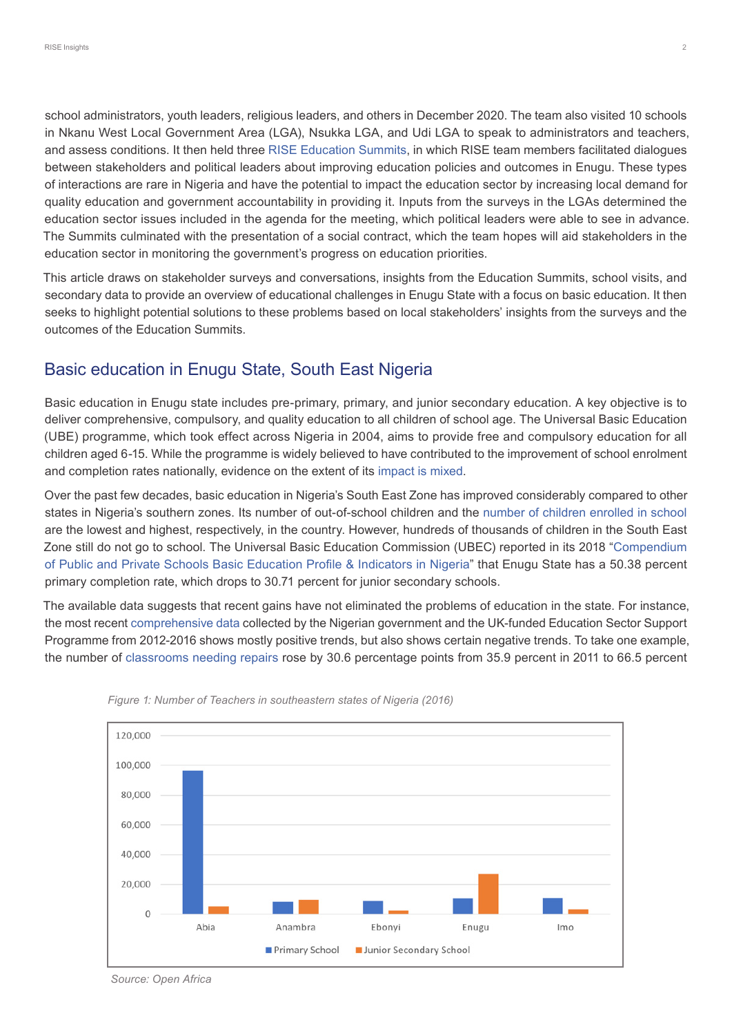school administrators, youth leaders, religious leaders, and others in December 2020. The team also visited 10 schools in Nkanu West Local Government Area (LGA), Nsukka LGA, and Udi LGA to speak to administrators and teachers, and assess conditions. It then held three [RISE Education Summits,](https://riseprogramme.org/blog/delivering-basic-education-nigeria) in which RISE team members facilitated dialogues between stakeholders and political leaders about improving education policies and outcomes in Enugu. These types of interactions are rare in Nigeria and have the potential to impact the education sector by increasing local demand for quality education and government accountability in providing it. Inputs from the surveys in the LGAs determined the education sector issues included in the agenda for the meeting, which political leaders were able to see in advance. The Summits culminated with the presentation of a social contract, which the team hopes will aid stakeholders in the education sector in monitoring the government's progress on education priorities.

This article draws on stakeholder surveys and conversations, insights from the Education Summits, school visits, and secondary data to provide an overview of educational challenges in Enugu State with a focus on basic education. It then seeks to highlight potential solutions to these problems based on local stakeholders' insights from the surveys and the outcomes of the Education Summits.

# Basic education in Enugu State, South East Nigeria

Basic education in Enugu state includes pre-primary, primary, and junior secondary education. A key objective is to deliver comprehensive, compulsory, and quality education to all children of school age. The Universal Basic Education (UBE) programme, which took effect across Nigeria in 2004, aims to provide free and compulsory education for all children aged 6-15. While the programme is widely believed to have contributed to the improvement of school enrolment and completion rates nationally, evidence on the extent of its [impact is mixed.](https://www.centreforpublicimpact.org/case-study/universal-basic-education-nigeria)

Over the past few decades, basic education in Nigeria's South East Zone has improved considerably compared to other states in Nigeria's southern zones. Its number of out-of-school children and the [number of children enrolled in school](https://guardian.ng/features/education/only-39-4-primary-school-age-children-currently-enrolled/)  are the lowest and highest, respectively, in the country. However, hundreds of thousands of children in the South East Zone still do not go to school. The Universal Basic Education Commission (UBEC) reported in its 2018 "[Compendium](https://ubec.gov.ng/data/)  [of Public and Private Schools Basic Education Profile & Indicators in Nigeria](https://ubec.gov.ng/data/)" that Enugu State has a 50.38 percent primary completion rate, which drops to 30.71 percent for junior secondary schools.

The available data suggests that recent gains have not eliminated the problems of education in the state. For instance, the most recent [comprehensive data](https://www.esspin.org/resources/reports/composite-survey-3-reports) collected by the Nigerian government and the UK-funded Education Sector Support Programme from 2012-2016 shows mostly positive trends, but also shows certain negative trends. To take one example, the number of [classrooms needing repairs](https://www.esspin.org/reports/download/398-file-HCE-Signed-Enugu OOSS-MainReport-Apr-2014.pdf) rose by 30.6 percentage points from 35.9 percent in 2011 to 66.5 percent





*Source: Open Africa*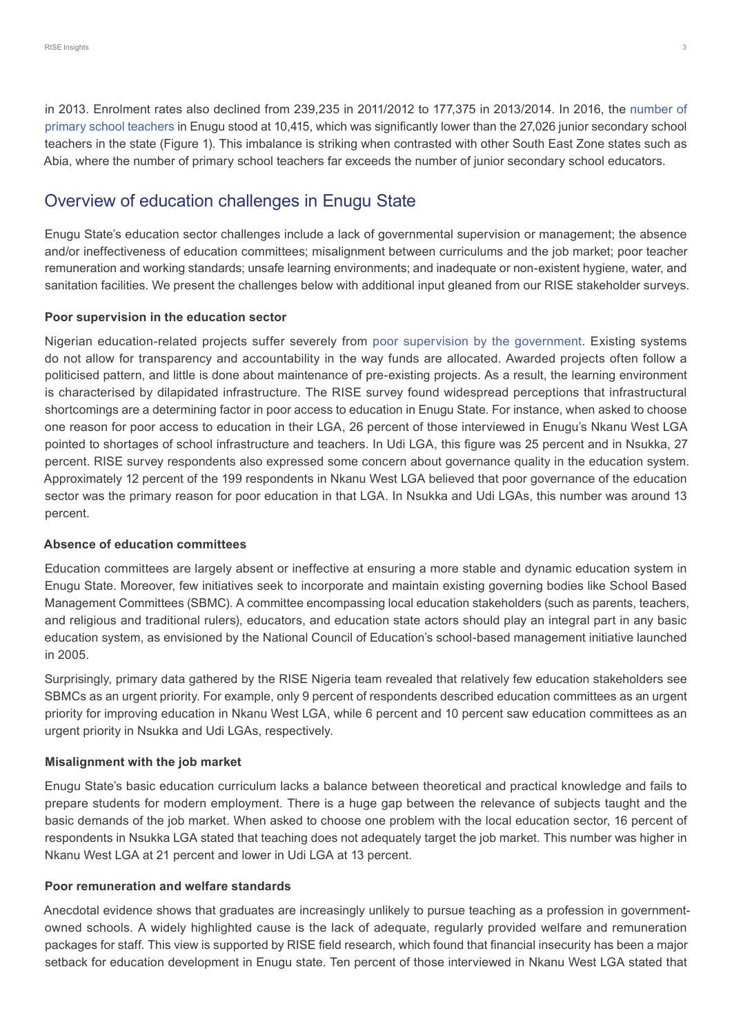in 2013. Enrolment rates also declined from 239,235 in 2011/2012 to 177,375 in 2013/2014. In 2016, the [number of](https://africaopendata.org/dataset/7152c601-c956-4180-9bc3-7ecd3558662e/resource/2fd0db9d-e0fe-4632-a074-0f714b8b4ceb/download/nigeria-education-indicators-2016.pdf)  [primary school teachers](https://africaopendata.org/dataset/7152c601-c956-4180-9bc3-7ecd3558662e/resource/2fd0db9d-e0fe-4632-a074-0f714b8b4ceb/download/nigeria-education-indicators-2016.pdf) in Enugu stood at 10,415, which was significantly lower than the 27,026 junior secondary school teachers in the state (Figure 1). This imbalance is striking when contrasted with other South East Zone states such as Abia, where the number of primary school teachers far exceeds the number of junior secondary school educators.

# Overview of education challenges in Enugu State

Enugu State's education sector challenges include a lack of governmental supervision or management; the absence and/or ineffectiveness of education committees; misalignment between curriculums and the job market; poor teacher remuneration and working standards; unsafe learning environments; and inadequate or non-existent hygiene, water, and sanitation facilities. We present the challenges below with additional input gleaned from our RISE stakeholder surveys.

## **Poor supervision in the education sector**

Nigerian education-related projects suffer severely from [poor supervision by the government](https://iaccseries.org/blog/how-corruption-is-affecting-basic-education-in-nigeria/). Existing systems do not allow for transparency and accountability in the way funds are allocated. Awarded projects often follow a politicised pattern, and little is done about maintenance of pre-existing projects. As a result, the learning environment is characterised by dilapidated infrastructure. The RISE survey found widespread perceptions that infrastructural shortcomings are a determining factor in poor access to education in Enugu State. For instance, when asked to choose one reason for poor access to education in their LGA, 26 percent of those interviewed in Enugu's Nkanu West LGA pointed to shortages of school infrastructure and teachers. In Udi LGA, this figure was 25 percent and in Nsukka, 27 percent. RISE survey respondents also expressed some concern about governance quality in the education system. Approximately 12 percent of the 199 respondents in Nkanu West LGA believed that poor governance of the education sector was the primary reason for poor education in that LGA. In Nsukka and Udi LGAs, this number was around 13 percent.

## **Absence of education committees**

Education committees are largely absent or ineffective at ensuring a more stable and dynamic education system in Enugu State. Moreover, few initiatives seek to incorporate and maintain existing governing bodies like School Based Management Committees (SBMC). A committee encompassing local education stakeholders (such as parents, teachers, and religious and traditional rulers), educators, and education state actors should play an integral part in any basic education system, as envisioned by the National Council of Education's school-based management initiative launched in 2005.

Surprisingly, primary data gathered by the RISE Nigeria team revealed that relatively few education stakeholders see SBMCs as an urgent priority. For example, only 9 percent of respondents described education committees as an urgent priority for improving education in Nkanu West LGA, while 6 percent and 10 percent saw education committees as an urgent priority in Nsukka and Udi LGAs, respectively.

## **Misalignment with the job market**

Enugu State's basic education curriculum lacks a balance between theoretical and practical knowledge and fails to prepare students for modern employment. There is a huge gap between the relevance of subjects taught and the basic demands of the job market. When asked to choose one problem with the local education sector, 16 percent of respondents in Nsukka LGA stated that teaching does not adequately target the job market. This number was higher in Nkanu West LGA at 21 percent and lower in Udi LGA at 13 percent.

## **Poor remuneration and welfare standards**

Anecdotal evidence shows that graduates are increasingly unlikely to pursue teaching as a profession in governmentowned schools. A widely highlighted cause is the lack of adequate, regularly provided welfare and remuneration packages for staff. This view is supported by RISE field research, which found that financial insecurity has been a major setback for education development in Enugu state. Ten percent of those interviewed in Nkanu West LGA stated that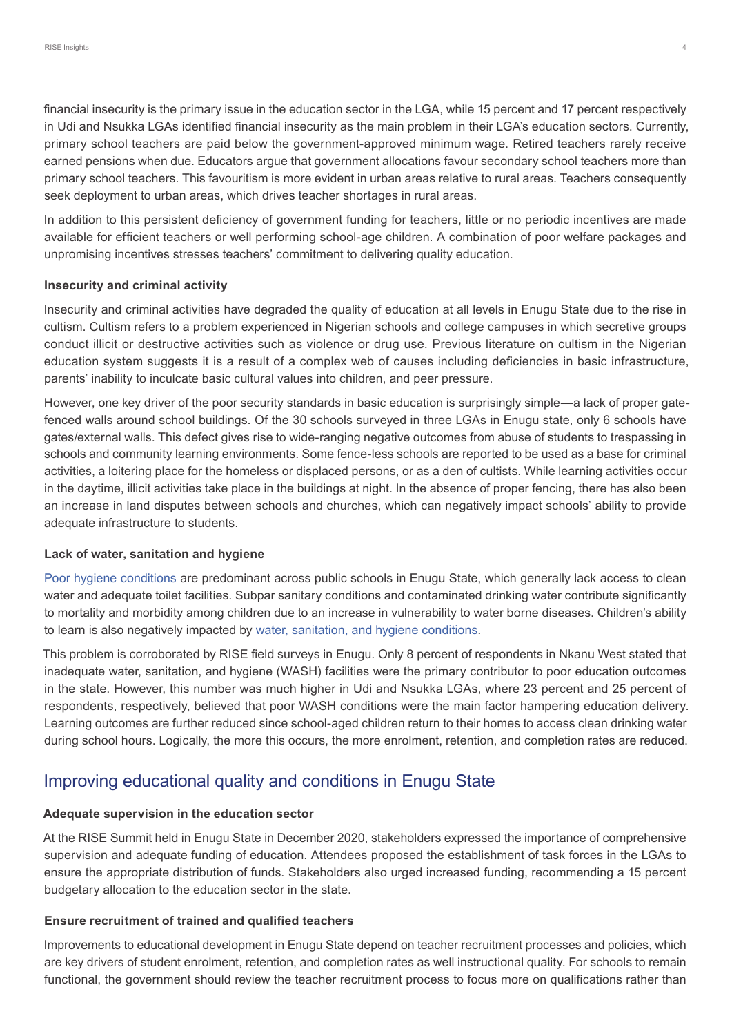financial insecurity is the primary issue in the education sector in the LGA, while 15 percent and 17 percent respectively in Udi and Nsukka LGAs identified financial insecurity as the main problem in their LGA's education sectors. Currently, primary school teachers are paid below the government-approved minimum wage. Retired teachers rarely receive earned pensions when due. Educators argue that government allocations favour secondary school teachers more than primary school teachers. This favouritism is more evident in urban areas relative to rural areas. Teachers consequently seek deployment to urban areas, which drives teacher shortages in rural areas.

In addition to this persistent deficiency of government funding for teachers, little or no periodic incentives are made available for efficient teachers or well performing school-age children. A combination of poor welfare packages and unpromising incentives stresses teachers' commitment to delivering quality education.

### **Insecurity and criminal activity**

Insecurity and criminal activities have degraded the quality of education at all levels in Enugu State due to the rise in cultism. Cultism refers to a problem experienced in Nigerian schools and college campuses in which secretive groups conduct illicit or destructive activities such as violence or drug use. Previous literature on cultism in the Nigerian education system suggests it is a result of a complex web of causes including deficiencies in basic infrastructure, parents' inability to inculcate basic cultural values into children, and peer pressure.

However, one key driver of the poor security standards in basic education is surprisingly simple—a lack of proper gatefenced walls around school buildings. Of the 30 schools surveyed in three LGAs in Enugu state, only 6 schools have gates/external walls. This defect gives rise to wide-ranging negative outcomes from abuse of students to trespassing in schools and community learning environments. Some fence-less schools are reported to be used as a base for criminal activities, a loitering place for the homeless or displaced persons, or as a den of cultists. While learning activities occur in the daytime, illicit activities take place in the buildings at night. In the absence of proper fencing, there has also been an increase in land disputes between schools and churches, which can negatively impact schools' ability to provide adequate infrastructure to students.

### **Lack of water, sanitation and hygiene**

[Poor hygiene conditions](https://www.unicef.org/nigeria/water-sanitation-and-hygiene) are predominant across public schools in Enugu State, which generally lack access to clean water and adequate toilet facilities. Subpar sanitary conditions and contaminated drinking water contribute significantly to mortality and morbidity among children due to an increase in vulnerability to water borne diseases. Children's ability to learn is also negatively impacted by [water, sanitation, and hygiene conditions.](https://scholar.harvard.edu/files/adukia/files/adukia_sanitation_and_education.pdf)

This problem is corroborated by RISE field surveys in Enugu. Only 8 percent of respondents in Nkanu West stated that inadequate water, sanitation, and hygiene (WASH) facilities were the primary contributor to poor education outcomes in the state. However, this number was much higher in Udi and Nsukka LGAs, where 23 percent and 25 percent of respondents, respectively, believed that poor WASH conditions were the main factor hampering education delivery. Learning outcomes are further reduced since school-aged children return to their homes to access clean drinking water during school hours. Logically, the more this occurs, the more enrolment, retention, and completion rates are reduced.

## Improving educational quality and conditions in Enugu State

## **Adequate supervision in the education sector**

At the RISE Summit held in Enugu State in December 2020, stakeholders expressed the importance of comprehensive supervision and adequate funding of education. Attendees proposed the establishment of task forces in the LGAs to ensure the appropriate distribution of funds. Stakeholders also urged increased funding, recommending a 15 percent budgetary allocation to the education sector in the state.

### **Ensure recruitment of trained and qualified teachers**

Improvements to educational development in Enugu State depend on teacher recruitment processes and policies, which are key drivers of student enrolment, retention, and completion rates as well instructional quality. For schools to remain functional, the government should review the teacher recruitment process to focus more on qualifications rather than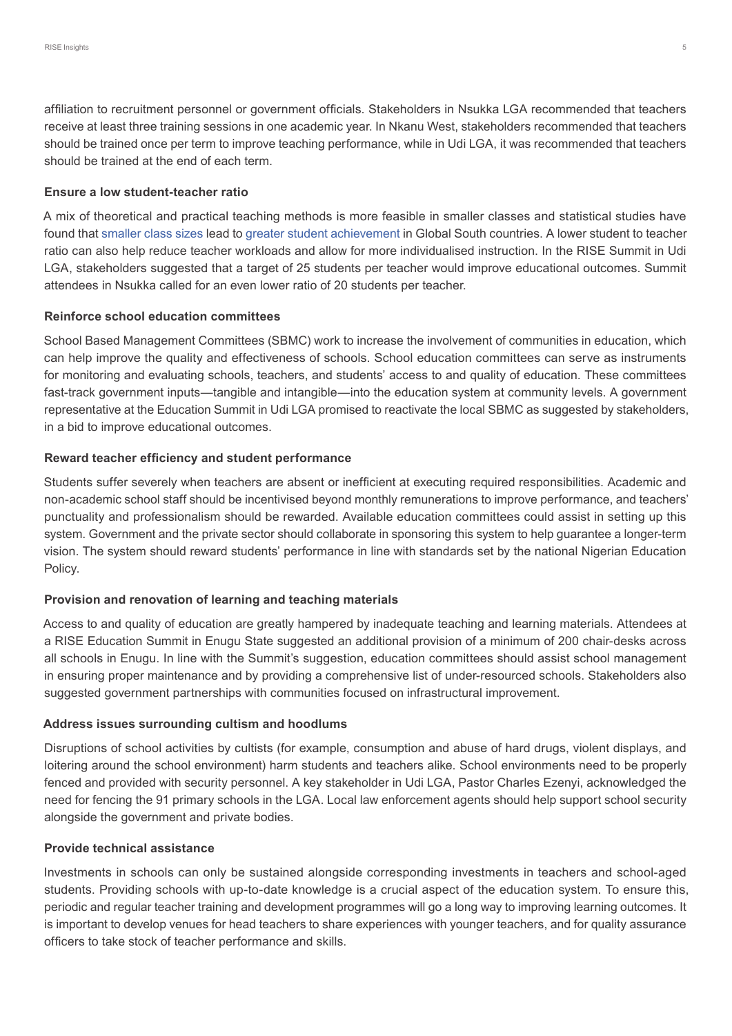affiliation to recruitment personnel or government officials. Stakeholders in Nsukka LGA recommended that teachers receive at least three training sessions in one academic year. In Nkanu West, stakeholders recommended that teachers should be trained once per term to improve teaching performance, while in Udi LGA, it was recommended that teachers should be trained at the end of each term.

## **Ensure a low student-teacher ratio**

A mix of theoretical and practical teaching methods is more feasible in smaller classes and statistical studies have found that [smaller class sizes](https://nicspaull.files.wordpress.com/2011/04/case-deaton-1999-school_inputs_and_educational_out.pdf) lead to [greater student achievement](https://www.researchgate.net/publication/24096038_Identifying_Class_Size_Effects_in_Developing_Countries_Evidence_from_Rural_Bolivia) in Global South countries. A lower student to teacher ratio can also help reduce teacher workloads and allow for more individualised instruction. In the RISE Summit in Udi LGA, stakeholders suggested that a target of 25 students per teacher would improve educational outcomes. Summit attendees in Nsukka called for an even lower ratio of 20 students per teacher.

## **Reinforce school education committees**

School Based Management Committees (SBMC) work to increase the involvement of communities in education, which can help improve the quality and effectiveness of schools. School education committees can serve as instruments for monitoring and evaluating schools, teachers, and students' access to and quality of education. These committees fast-track government inputs—tangible and intangible—into the education system at community levels. A government representative at the Education Summit in Udi LGA promised to reactivate the local SBMC as suggested by stakeholders, in a bid to improve educational outcomes.

## **Reward teacher efficiency and student performance**

Students suffer severely when teachers are absent or inefficient at executing required responsibilities. Academic and non-academic school staff should be incentivised beyond monthly remunerations to improve performance, and teachers' punctuality and professionalism should be rewarded. Available education committees could assist in setting up this system. Government and the private sector should collaborate in sponsoring this system to help guarantee a longer-term vision. The system should reward students' performance in line with standards set by the national Nigerian Education Policy.

## **Provision and renovation of learning and teaching materials**

Access to and quality of education are greatly hampered by inadequate teaching and learning materials. Attendees at a RISE Education Summit in Enugu State suggested an additional provision of a minimum of 200 chair-desks across all schools in Enugu. In line with the Summit's suggestion, education committees should assist school management in ensuring proper maintenance and by providing a comprehensive list of under-resourced schools. Stakeholders also suggested government partnerships with communities focused on infrastructural improvement.

## **Address issues surrounding cultism and hoodlums**

Disruptions of school activities by cultists (for example, consumption and abuse of hard drugs, violent displays, and loitering around the school environment) harm students and teachers alike. School environments need to be properly fenced and provided with security personnel. A key stakeholder in Udi LGA, Pastor Charles Ezenyi, acknowledged the need for fencing the 91 primary schools in the LGA. Local law enforcement agents should help support school security alongside the government and private bodies.

## **Provide technical assistance**

Investments in schools can only be sustained alongside corresponding investments in teachers and school-aged students. Providing schools with up-to-date knowledge is a crucial aspect of the education system. To ensure this, periodic and regular teacher training and development programmes will go a long way to improving learning outcomes. It is important to develop venues for head teachers to share experiences with younger teachers, and for quality assurance officers to take stock of teacher performance and skills.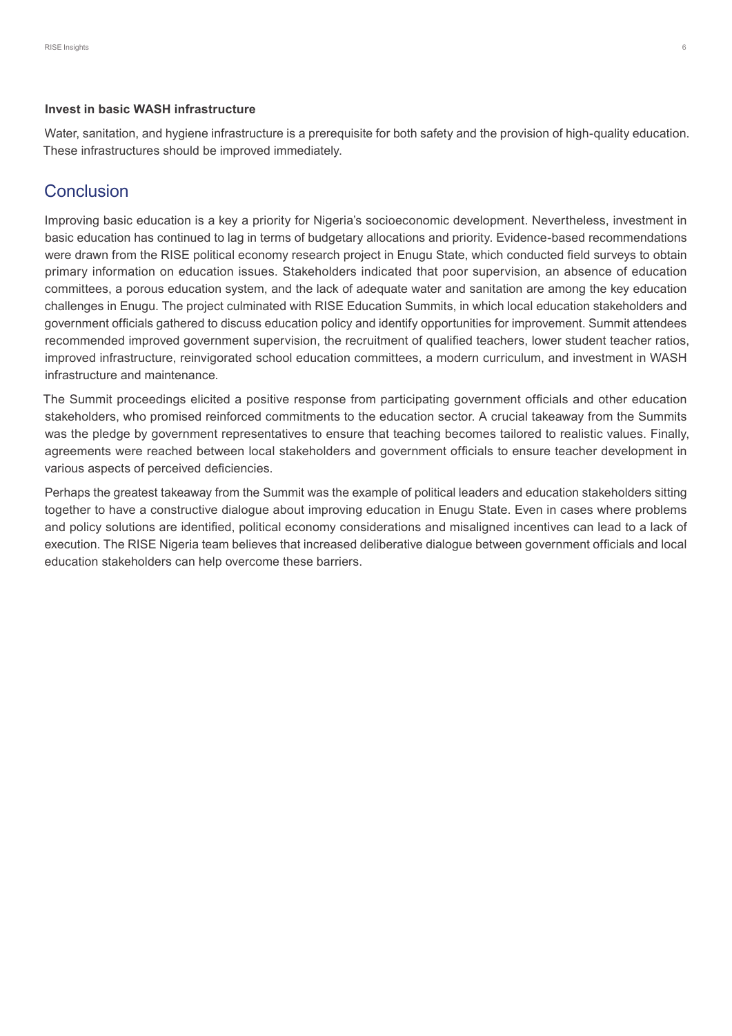#### **Invest in basic WASH infrastructure**

Water, sanitation, and hygiene infrastructure is a prerequisite for both safety and the provision of high-quality education. These infrastructures should be improved immediately.

## Conclusion

Improving basic education is a key a priority for Nigeria's socioeconomic development. Nevertheless, investment in basic education has continued to lag in terms of budgetary allocations and priority. Evidence-based recommendations were drawn from the RISE political economy research project in Enugu State, which conducted field surveys to obtain primary information on education issues. Stakeholders indicated that poor supervision, an absence of education committees, a porous education system, and the lack of adequate water and sanitation are among the key education challenges in Enugu. The project culminated with RISE Education Summits, in which local education stakeholders and government officials gathered to discuss education policy and identify opportunities for improvement. Summit attendees recommended improved government supervision, the recruitment of qualified teachers, lower student teacher ratios, improved infrastructure, reinvigorated school education committees, a modern curriculum, and investment in WASH infrastructure and maintenance.

The Summit proceedings elicited a positive response from participating government officials and other education stakeholders, who promised reinforced commitments to the education sector. A crucial takeaway from the Summits was the pledge by government representatives to ensure that teaching becomes tailored to realistic values. Finally, agreements were reached between local stakeholders and government officials to ensure teacher development in various aspects of perceived deficiencies.

Perhaps the greatest takeaway from the Summit was the example of political leaders and education stakeholders sitting together to have a constructive dialogue about improving education in Enugu State. Even in cases where problems and policy solutions are identified, political economy considerations and misaligned incentives can lead to a lack of execution. The RISE Nigeria team believes that increased deliberative dialogue between government officials and local education stakeholders can help overcome these barriers.